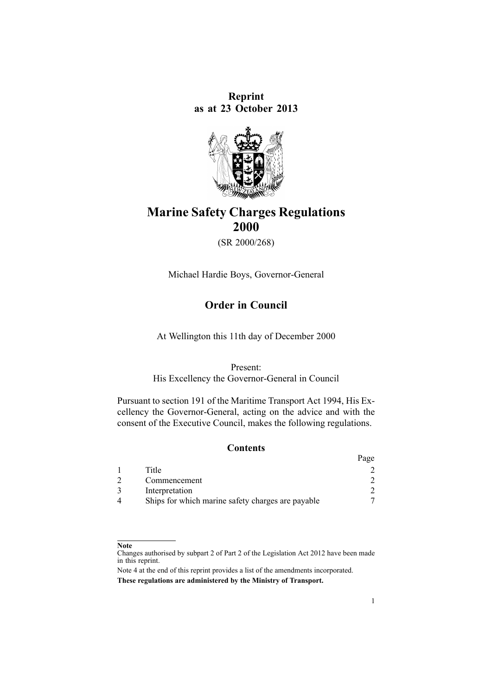**Reprint as at 23 October 2013**



# **Marine Safety Charges Regulations 2000**

(SR 2000/268)

Michael Hardie Boys, Governor-General

# **Order in Council**

At Wellington this 11th day of December 2000

### Present:

His Excellency the Governor-General in Council

Pursuant to [section](http://www.legislation.govt.nz/pdflink.aspx?id=DLM336772) 191 of the Maritime Transport Act 1994, His Excellency the Governor-General, acting on the advice and with the consent of the Executive Council, makes the following regulations.

## **Contents**

|                                                   | Page |
|---------------------------------------------------|------|
| Title                                             |      |
| Commencement                                      |      |
| Interpretation                                    |      |
| Ships for which marine safety charges are payable |      |

#### **Note**

Changes authorised by [subpart](http://www.legislation.govt.nz/pdflink.aspx?id=DLM2998524) 2 of Part 2 of the Legislation Act 2012 have been made in this reprint.

Note 4 at the end of this reprint provides <sup>a</sup> list of the amendments incorporated. **These regulations are administered by the Ministry of Transport.**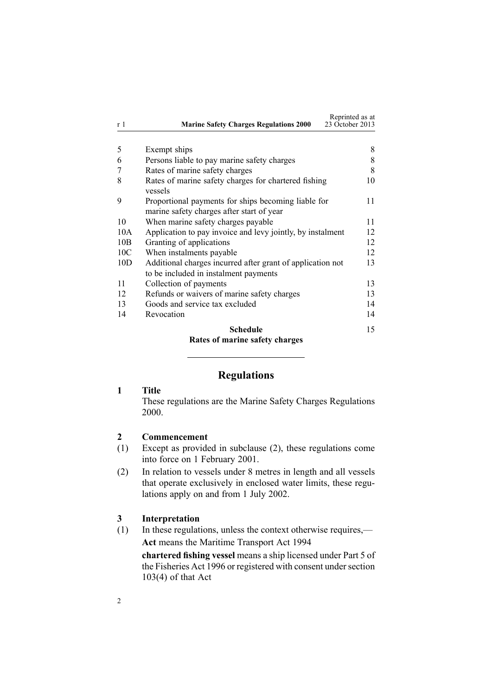<span id="page-1-0"></span>

| r 1             | <b>Marine Safety Charges Regulations 2000</b>                                                       | Reprinted as at<br>23 October 2013 |
|-----------------|-----------------------------------------------------------------------------------------------------|------------------------------------|
|                 |                                                                                                     |                                    |
| 5               | Exempt ships                                                                                        | 8                                  |
| 6               | Persons liable to pay marine safety charges                                                         | 8                                  |
| 7               | Rates of marine safety charges                                                                      | 8                                  |
| 8               | Rates of marine safety charges for chartered fishing<br>vessels                                     | 10                                 |
| 9               | Proportional payments for ships becoming liable for<br>marine safety charges after start of year    | 11                                 |
| 10              | When marine safety charges payable                                                                  | 11                                 |
| 10A             | Application to pay invoice and levy jointly, by instalment                                          | 12                                 |
| 10B             | Granting of applications                                                                            | 12                                 |
| 10 <sub>C</sub> | When instalments payable                                                                            | 12                                 |
| 10D             | Additional charges incurred after grant of application not<br>to be included in instalment payments | 13                                 |
| 11              | Collection of payments                                                                              | 13                                 |
| 12              | Refunds or waivers of marine safety charges                                                         | 13                                 |
| 13              | Goods and service tax excluded                                                                      | 14                                 |
| 14              | Revocation                                                                                          | 14                                 |
|                 | Schedule                                                                                            | 15                                 |

# **Rates of marine safety [charges](#page-14-0)**

## **Regulations**

## **1 Title**

These regulations are the Marine Safety Charges Regulations 2000.

### **2 Commencement**

- (1) Except as provided in subclause (2), these regulations come into force on 1 February 2001.
- (2) In relation to vessels under 8 metres in length and all vessels that operate exclusively in enclosed water limits, these regulations apply on and from 1 July 2002.

## **3 Interpretation**

(1) In these regulations, unless the context otherwise requires,— **Act** means the Maritime [Transport](http://www.legislation.govt.nz/pdflink.aspx?id=DLM334659) Act 1994

**chartered fishing vessel** means <sup>a</sup> ship licensed under [Part](http://www.legislation.govt.nz/pdflink.aspx?id=DLM396589) 5 of the Fisheries Act 1996 or registered with consent under section  $103(4)$  of that Act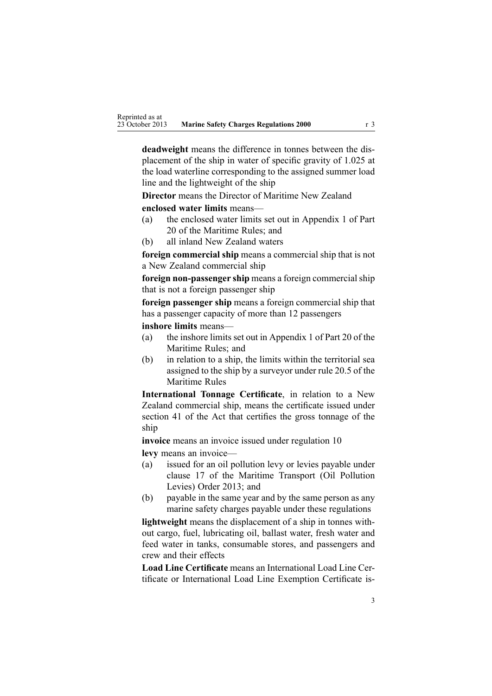**deadweight** means the difference in tonnes between the displacement of the ship in water of specific gravity of 1.025 at the load waterline corresponding to the assigned summer load line and the lightweight of the ship

**Director** means the Director of Maritime New Zealand

**enclosed water limits** means—

- (a) the enclosed water limits set out in Appendix 1 of Part 20 of the Maritime Rules; and
- (b) all inland New Zealand waters

**foreign commercial ship** means <sup>a</sup> commercial ship that is not <sup>a</sup> New Zealand commercial ship

**foreign non-passenger ship** means a foreign commercial ship that is not <sup>a</sup> foreign passenger ship

**foreign passenger ship** means <sup>a</sup> foreign commercial ship that has <sup>a</sup> passenger capacity of more than 12 passengers

**inshore limits** means—

- (a) the inshore limits set out in Appendix 1 of Part 20 of the Maritime Rules; and
- (b) in relation to <sup>a</sup> ship, the limits within the territorial sea assigned to the ship by <sup>a</sup> surveyor under rule 20.5 of the Maritime Rules

**International Tonnage Certificate**, in relation to <sup>a</sup> New Zealand commercial ship, means the certificate issued under [section](http://www.legislation.govt.nz/pdflink.aspx?id=DLM335706) 41 of the Act that certifies the gross tonnage of the ship

**invoice** means an invoice issued under regu[lation](#page-10-0) 10 **levy** means an invoice—

- (a) issued for an oil pollution levy or levies payable under [clause](http://www.legislation.govt.nz/pdflink.aspx?id=DLM5202763) 17 of the Maritime Transport (Oil Pollution Levies) Order 2013; and
- (b) payable in the same year and by the same person as any marine safety charges payable under these regulations

**lightweight** means the displacement of <sup>a</sup> ship in tonnes without cargo, fuel, lubricating oil, ballast water, fresh water and feed water in tanks, consumable stores, and passengers and crew and their effects

**Load Line Certificate** means an International Load Line Certificate or International Load Line Exemption Certificate is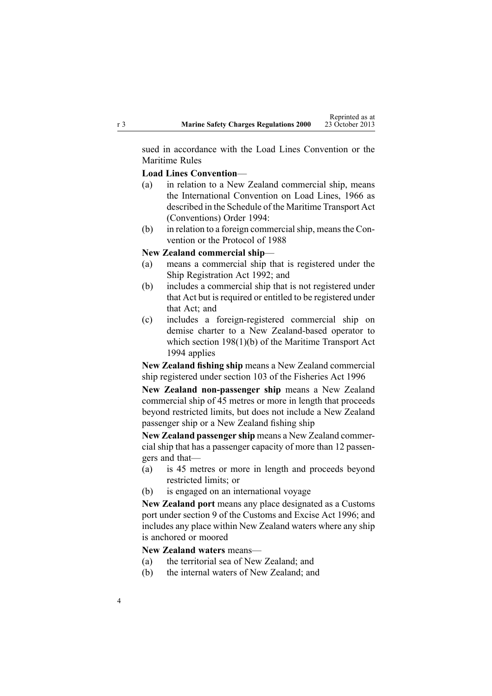sued in accordance with the Load Lines Convention or the Maritime Rules

### **Load Lines Convention**—

- (a) in relation to <sup>a</sup> New Zealand commercial ship, means the International Convention on Load Lines, 1966 as described in the [Schedule](http://www.legislation.govt.nz/pdflink.aspx?id=DLM197274) of the Maritime Transport Act (Conventions) Order 1994:
- (b) in relation to <sup>a</sup> foreign commercialship, meansthe Convention or the Protocol of 1988

#### **New Zealand commercial ship**—

- (a) means <sup>a</sup> commercial ship that is registered under the Ship [Registration](http://www.legislation.govt.nz/pdflink.aspx?id=DLM275026) Act 1992; and
- (b) includes <sup>a</sup> commercial ship that is not registered under that Act but is required or entitled to be registered under that Act; and
- (c) includes <sup>a</sup> foreign-registered commercial ship on demise charter to <sup>a</sup> New Zealand-based operator to which section [198\(1\)\(b\)](http://www.legislation.govt.nz/pdflink.aspx?id=DLM336787) of the Maritime Transport Act 1994 applies

**New Zealand fishing ship** means <sup>a</sup> New Zealand commercial ship registered under [section](http://www.legislation.govt.nz/pdflink.aspx?id=DLM396970) 103 of the Fisheries Act 1996

**New Zealand non-passenger ship** means <sup>a</sup> New Zealand commercial ship of 45 metres or more in length that proceeds beyond restricted limits, but does not include <sup>a</sup> New Zealand passenger ship or <sup>a</sup> New Zealand fishing ship

**New Zealand passenger ship** means <sup>a</sup> New Zealand commercial ship that has <sup>a</sup> passenger capacity of more than 12 passengers and that—

- (a) is 45 metres or more in length and proceeds beyond restricted limits; or
- (b) is engaged on an international voyage

**New Zealand por<sup>t</sup>** means any place designated as <sup>a</sup> Customs por<sup>t</sup> under [section](http://www.legislation.govt.nz/pdflink.aspx?id=DLM378158) 9 of the Customs and Excise Act 1996; and includes any place within New Zealand waters where any ship is anchored or moored

## **New Zealand waters** means—

- (a) the territorial sea of New Zealand; and
- (b) the internal waters of New Zealand; and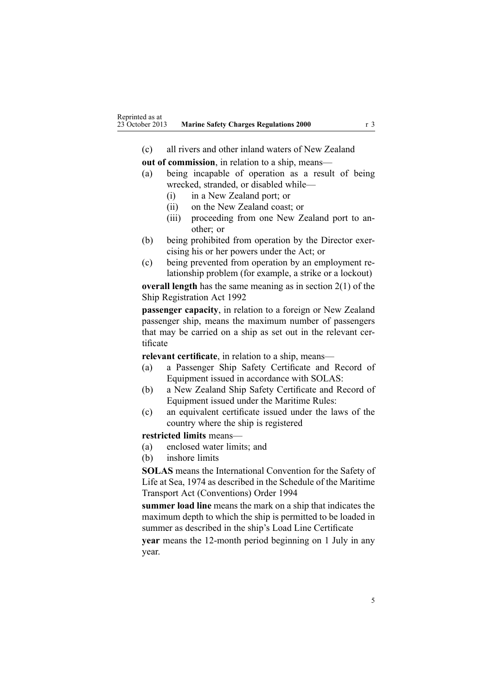(c) all rivers and other inland waters of New Zealand

**out of commission**, in relation to <sup>a</sup> ship, means—

- (a) being incapable of operation as <sup>a</sup> result of being wrecked, stranded, or disabled while—
	- (i) in <sup>a</sup> New Zealand port; or
	- (ii) on the New Zealand coast; or
	- (iii) proceeding from one New Zealand por<sup>t</sup> to another; or
- (b) being prohibited from operation by the Director exercising his or her powers under the Act; or
- (c) being prevented from operation by an employment relationship problem (for example, <sup>a</sup> strike or <sup>a</sup> lockout)

**overall length** has the same meaning as in [section](http://www.legislation.govt.nz/pdflink.aspx?id=DLM275032) 2(1) of the Ship Registration Act 1992

**passenger capacity**, in relation to <sup>a</sup> foreign or New Zealand passenger ship, means the maximum number of passengers that may be carried on <sup>a</sup> ship as set out in the relevant certificate

**relevant certificate**, in relation to <sup>a</sup> ship, means—

- (a) <sup>a</sup> Passenger Ship Safety Certificate and Record of Equipment issued in accordance with SOLAS:
- (b) <sup>a</sup> New Zealand Ship Safety Certificate and Record of Equipment issued under the Maritime Rules:
- (c) an equivalent certificate issued under the laws of the country where the ship is registered

#### **restricted limits** means—

- (a) enclosed water limits; and
- (b) inshore limits

**SOLAS** means the International Convention for the Safety of Life at Sea, 1974 as described in the [Schedule](http://www.legislation.govt.nz/pdflink.aspx?id=DLM197274) of the Maritime Transport Act (Conventions) Order 1994

**summer load line** means the mark on <sup>a</sup> ship that indicates the maximum depth to which the ship is permitted to be loaded in summer as described in the ship's Load Line Certificate

**year** means the 12-month period beginning on 1 July in any year.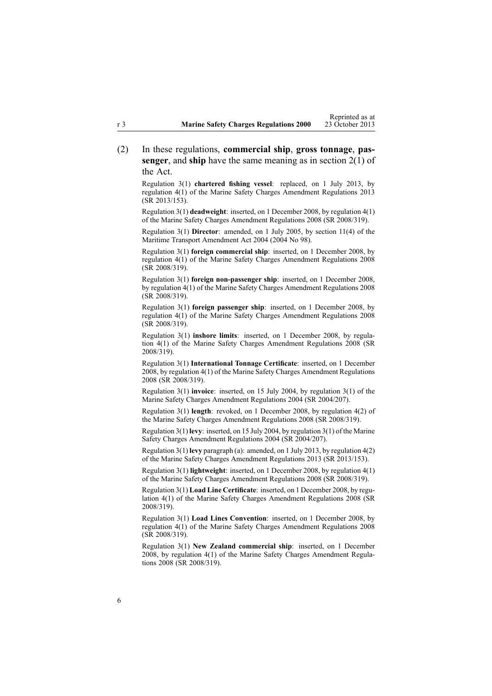(2) In these regulations, **commercial ship**, **gross tonnage**, **passenger**, and **ship** have the same meaning as in [section](http://www.legislation.govt.nz/pdflink.aspx?id=DLM334667) 2(1) of the Act.

Regulation 3(1) **chartered fishing vessel**: replaced, on 1 July 2013, by regu[lation](http://www.legislation.govt.nz/pdflink.aspx?id=DLM5202322) 4(1) of the Marine Safety Charges Amendment Regulations 2013 (SR 2013/153).

Regulation 3(1) **deadweight**: inserted, on 1 December 2008, by regu[lation](http://www.legislation.govt.nz/pdflink.aspx?id=DLM1625607) 4(1) of the Marine Safety Charges Amendment Regulations 2008 (SR 2008/319).

Regulation 3(1) **Director**: amended, on 1 July 2005, by [section](http://www.legislation.govt.nz/pdflink.aspx?id=DLM322600) 11(4) of the Maritime Transport Amendment Act 2004 (2004 No 98).

Regulation 3(1) **foreign commercial ship**: inserted, on 1 December 2008, by regu[lation](http://www.legislation.govt.nz/pdflink.aspx?id=DLM1625607) 4(1) of the Marine Safety Charges Amendment Regulations 2008 (SR 2008/319).

Regulation 3(1) **foreign non-passenger ship**: inserted, on 1 December 2008, by regu[lation](http://www.legislation.govt.nz/pdflink.aspx?id=DLM1625607) 4(1) of the Marine Safety Charges Amendment Regulations 2008 (SR 2008/319).

Regulation 3(1) **foreign passenger ship**: inserted, on 1 December 2008, by regu[lation](http://www.legislation.govt.nz/pdflink.aspx?id=DLM1625607) 4(1) of the Marine Safety Charges Amendment Regulations 2008 (SR 2008/319).

Regulation 3(1) **inshore limits**: inserted, on 1 December 2008, by [regu](http://www.legislation.govt.nz/pdflink.aspx?id=DLM1625607)lation [4\(1\)](http://www.legislation.govt.nz/pdflink.aspx?id=DLM1625607) of the Marine Safety Charges Amendment Regulations 2008 (SR 2008/319).

Regulation 3(1) **International Tonnage Certificate**: inserted, on 1 December 2008, by regu[lation](http://www.legislation.govt.nz/pdflink.aspx?id=DLM1625607) 4(1) of the Marine Safety Charges Amendment Regulations 2008 (SR 2008/319).

Regulation 3(1) **invoice**: inserted, on 15 July 2004, by regu[lation](http://www.legislation.govt.nz/pdflink.aspx?id=DLM272530) 3(1) of the Marine Safety Charges Amendment Regulations 2004 (SR 2004/207).

Regulation 3(1) **length**: revoked, on 1 December 2008, by regu[lation](http://www.legislation.govt.nz/pdflink.aspx?id=DLM1625607) 4(2) of the Marine Safety Charges Amendment Regulations 2008 (SR 2008/319).

Regulation 3(1) **levy**: inserted, on 15 July 2004, by regu[lation](http://www.legislation.govt.nz/pdflink.aspx?id=DLM272530) 3(1) of the Marine Safety Charges Amendment Regulations 2004 (SR 2004/207).

Regulation 3(1) **levy** paragraph (a): amended, on 1 July 2013, by regu[lation](http://www.legislation.govt.nz/pdflink.aspx?id=DLM5202322) 4(2) of the Marine Safety Charges Amendment Regulations 2013 (SR 2013/153).

Regulation 3(1) **lightweight**: inserted, on 1 December 2008, by regu[lation](http://www.legislation.govt.nz/pdflink.aspx?id=DLM1625607) 4(1) of the Marine Safety Charges Amendment Regulations 2008 (SR 2008/319).

Regulation 3(1) **Load Line Certificate**: inserted, on 1 December 2008, by [regu](http://www.legislation.govt.nz/pdflink.aspx?id=DLM1625607)[lation](http://www.legislation.govt.nz/pdflink.aspx?id=DLM1625607) 4(1) of the Marine Safety Charges Amendment Regulations 2008 (SR 2008/319).

Regulation 3(1) **Load Lines Convention**: inserted, on 1 December 2008, by regu[lation](http://www.legislation.govt.nz/pdflink.aspx?id=DLM1625607) 4(1) of the Marine Safety Charges Amendment Regulations 2008 (SR 2008/319).

Regulation 3(1) **New Zealand commercial ship**: inserted, on 1 December 2008, by regu[lation](http://www.legislation.govt.nz/pdflink.aspx?id=DLM1625607) 4(1) of the Marine Safety Charges Amendment Regulations 2008 (SR 2008/319).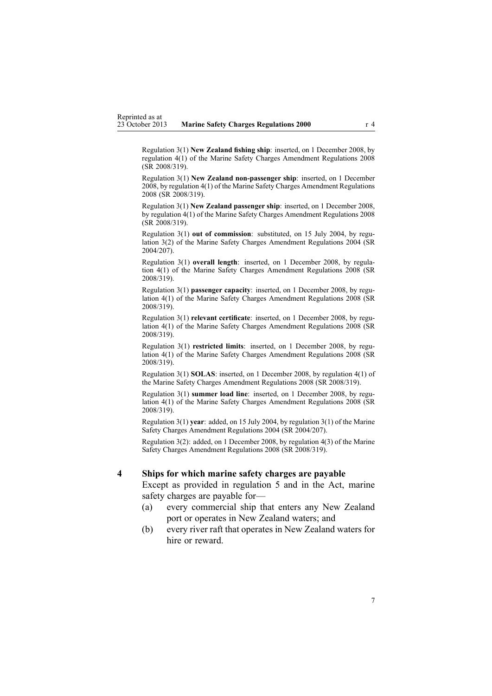<span id="page-6-0"></span>Regulation 3(1) **New Zealand fishing ship**: inserted, on 1 December 2008, by regu[lation](http://www.legislation.govt.nz/pdflink.aspx?id=DLM1625607) 4(1) of the Marine Safety Charges Amendment Regulations 2008 (SR 2008/319).

Regulation 3(1) **New Zealand non-passenger ship**: inserted, on 1 December 2008, by regu[lation](http://www.legislation.govt.nz/pdflink.aspx?id=DLM1625607) 4(1) of the Marine Safety Charges Amendment Regulations 2008 (SR 2008/319).

Regulation 3(1) **New Zealand passenger ship**: inserted, on 1 December 2008, by regu[lation](http://www.legislation.govt.nz/pdflink.aspx?id=DLM1625607) 4(1) of the Marine Safety Charges Amendment Regulations 2008 (SR 2008/319).

Regulation 3(1) **out of commission**: substituted, on 15 July 2004, by [regu](http://www.legislation.govt.nz/pdflink.aspx?id=DLM272530)[lation](http://www.legislation.govt.nz/pdflink.aspx?id=DLM272530) 3(2) of the Marine Safety Charges Amendment Regulations 2004 (SR 2004/207).

Regulation 3(1) **overall length**: inserted, on 1 December 2008, by [regu](http://www.legislation.govt.nz/pdflink.aspx?id=DLM1625607)lation [4\(1\)](http://www.legislation.govt.nz/pdflink.aspx?id=DLM1625607) of the Marine Safety Charges Amendment Regulations 2008 (SR 2008/319).

Regulation 3(1) **passenger capacity**: inserted, on 1 December 2008, by [regu](http://www.legislation.govt.nz/pdflink.aspx?id=DLM1625607)[lation](http://www.legislation.govt.nz/pdflink.aspx?id=DLM1625607) 4(1) of the Marine Safety Charges Amendment Regulations 2008 (SR 2008/319).

Regulation 3(1) **relevant certificate**: inserted, on 1 December 2008, by [regu](http://www.legislation.govt.nz/pdflink.aspx?id=DLM1625607)[lation](http://www.legislation.govt.nz/pdflink.aspx?id=DLM1625607) 4(1) of the Marine Safety Charges Amendment Regulations 2008 (SR 2008/319).

Regulation 3(1) **restricted limits**: inserted, on 1 December 2008, by [regu](http://www.legislation.govt.nz/pdflink.aspx?id=DLM1625607)[lation](http://www.legislation.govt.nz/pdflink.aspx?id=DLM1625607) 4(1) of the Marine Safety Charges Amendment Regulations 2008 (SR 2008/319).

Regulation 3(1) **SOLAS**: inserted, on 1 December 2008, by regu[lation](http://www.legislation.govt.nz/pdflink.aspx?id=DLM1625607) 4(1) of the Marine Safety Charges Amendment Regulations 2008 (SR 2008/319).

Regulation 3(1) **summer load line**: inserted, on 1 December 2008, by [regu](http://www.legislation.govt.nz/pdflink.aspx?id=DLM1625607)[lation](http://www.legislation.govt.nz/pdflink.aspx?id=DLM1625607) 4(1) of the Marine Safety Charges Amendment Regulations 2008 (SR 2008/319).

Regulation 3(1) **year**: added, on 15 July 2004, by regu[lation](http://www.legislation.govt.nz/pdflink.aspx?id=DLM272530) 3(1) of the Marine Safety Charges Amendment Regulations 2004 (SR 2004/207).

Regulation 3(2): added, on 1 December 2008, by regu[lation](http://www.legislation.govt.nz/pdflink.aspx?id=DLM1625607) 4(3) of the Marine Safety Charges Amendment Regulations 2008 (SR 2008/319).

#### **4 Ships for which marine safety charges are payable**

Except as provided in regu[lation](#page-7-0) 5 and in the Act, marine safety charges are payable for—

- (a) every commercial ship that enters any New Zealand por<sup>t</sup> or operates in New Zealand waters; and
- (b) every river raft that operates in New Zealand waters for hire or reward.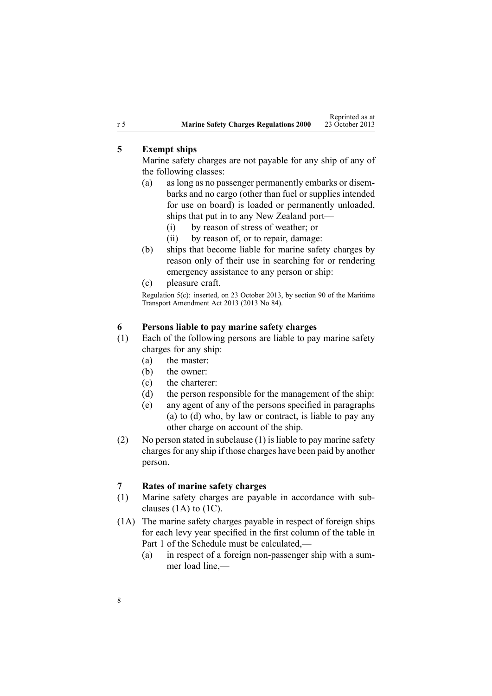## <span id="page-7-0"></span>**5 Exempt ships**

Marine safety charges are not payable for any ship of any of the following classes:

- (a) as long as no passenger permanently embarks or disembarks and no cargo (other than fuel or supplies intended for use on board) is loaded or permanently unloaded, ships that pu<sup>t</sup> in to any New Zealand port—
	- (i) by reason of stress of weather; or
	- (ii) by reason of, or to repair, damage:
- (b) ships that become liable for marine safety charges by reason only of their use in searching for or rendering emergency assistance to any person or ship:
- (c) pleasure craft.

Regulation 5(c): inserted, on 23 October 2013, by [section](http://www.legislation.govt.nz/pdflink.aspx?id=DLM4698973) 90 of the Maritime Transport Amendment Act 2013 (2013 No 84).

### **6 Persons liable to pay marine safety charges**

- (1) Each of the following persons are liable to pay marine safety charges for any ship:
	- (a) the master:
	- (b) the owner:
	- (c) the charterer:
	- (d) the person responsible for the managemen<sup>t</sup> of the ship:
	- (e) any agen<sup>t</sup> of any of the persons specified in paragraphs (a) to (d) who, by law or contract, is liable to pay any other charge on account of the ship.
- (2) No person stated in subclause (1) is liable to pay marine safety charges for any ship if those charges have been paid by another person.

### **7 Rates of marine safety charges**

- (1) Marine safety charges are payable in accordance with subclauses  $(1A)$  to  $(1C)$ .
- (1A) The marine safety charges payable in respec<sup>t</sup> of foreign ships for each levy year specified in the first column of the table in [Part](#page-14-0) 1 of the Schedule must be calculated,—
	- (a) in respec<sup>t</sup> of <sup>a</sup> foreign non-passenger ship with <sup>a</sup> summer load line,—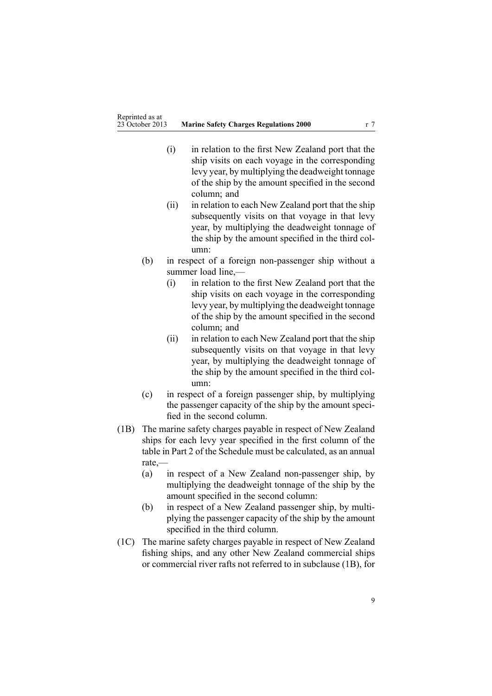- (i) in relation to the first New Zealand por<sup>t</sup> that the ship visits on each voyage in the corresponding levy year, by multiplying the deadweight tonnage of the ship by the amount specified in the second column; and
- (ii) in relation to each New Zealand por<sup>t</sup> that the ship subsequently visits on that voyage in that levy year, by multiplying the deadweight tonnage of the ship by the amount specified in the third column:
- (b) in respec<sup>t</sup> of <sup>a</sup> foreign non-passenger ship without <sup>a</sup> summer load line,—
	- (i) in relation to the first New Zealand por<sup>t</sup> that the ship visits on each voyage in the corresponding levy year, by multiplying the deadweight tonnage of the ship by the amount specified in the second column; and
	- (ii) in relation to each New Zealand por<sup>t</sup> that the ship subsequently visits on that voyage in that levy year, by multiplying the deadweight tonnage of the ship by the amount specified in the third column:
- (c) in respec<sup>t</sup> of <sup>a</sup> foreign passenger ship, by multiplying the passenger capacity of the ship by the amount specified in the second column.
- (1B) The marine safety charges payable in respec<sup>t</sup> of New Zealand ships for each levy year specified in the first column of the table in [Part](#page-15-0) 2 of the Schedule must be calculated, as an annual rate,—
	- (a) in respec<sup>t</sup> of <sup>a</sup> New Zealand non-passenger ship, by multiplying the deadweight tonnage of the ship by the amount specified in the second column:
	- (b) in respec<sup>t</sup> of <sup>a</sup> New Zealand passenger ship, by multiplying the passenger capacity of the ship by the amount specified in the third column.
- (1C) The marine safety charges payable in respec<sup>t</sup> of New Zealand fishing ships, and any other New Zealand commercial ships or commercial river rafts not referred to in subclause (1B), for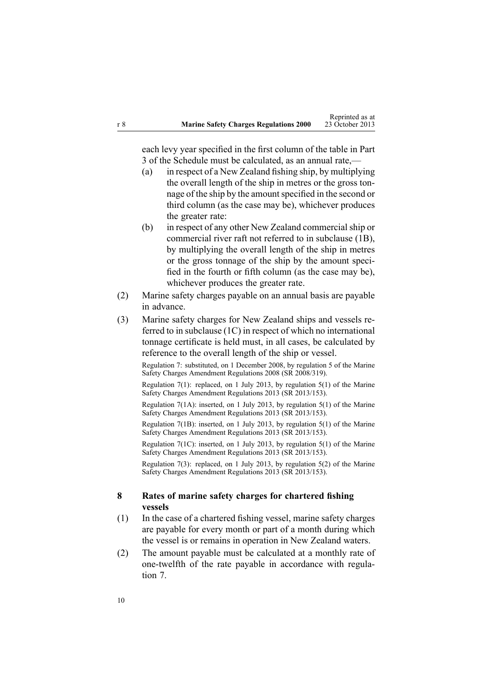<span id="page-9-0"></span>each levy year specified in the first column of the table in [Part](#page-15-0) [3](#page-15-0) of the Schedule must be calculated, as an annual rate,—

- (a) in respec<sup>t</sup> of <sup>a</sup> New Zealand fishing ship, by multiplying the overall length of the ship in metres or the gross tonnage of the ship by the amount specified in the second or third column (as the case may be), whichever produces the greater rate:
- (b) in respec<sup>t</sup> of any other New Zealand commercialship or commercial river raft not referred to in subclause (1B), by multiplying the overall length of the ship in metres or the gross tonnage of the ship by the amount specified in the fourth or fifth column (as the case may be), whichever produces the greater rate.
- (2) Marine safety charges payable on an annual basis are payable in advance.
- (3) Marine safety charges for New Zealand ships and vessels referred to in subclause (1C) in respec<sup>t</sup> of which no international tonnage certificate is held must, in all cases, be calculated by reference to the overall length of the ship or vessel.

Regulation 7: substituted, on 1 December 2008, by regu[lation](http://www.legislation.govt.nz/pdflink.aspx?id=DLM1625647) 5 of the Marine Safety Charges Amendment Regulations 2008 (SR 2008/319).

Regulation 7(1): replaced, on 1 July 2013, by regu[lation](http://www.legislation.govt.nz/pdflink.aspx?id=DLM5202326) 5(1) of the Marine Safety Charges Amendment Regulations 2013 (SR 2013/153).

Regulation 7(1A): inserted, on 1 July 2013, by regu[lation](http://www.legislation.govt.nz/pdflink.aspx?id=DLM5202326) 5(1) of the Marine Safety Charges Amendment Regulations 2013 (SR 2013/153).

Regulation 7(1B): inserted, on 1 July 2013, by regu[lation](http://www.legislation.govt.nz/pdflink.aspx?id=DLM5202326) 5(1) of the Marine Safety Charges Amendment Regulations 2013 (SR 2013/153).

Regulation 7(1C): inserted, on 1 July 2013, by regu[lation](http://www.legislation.govt.nz/pdflink.aspx?id=DLM5202326) 5(1) of the Marine Safety Charges Amendment Regulations 2013 (SR 2013/153).

Regulation 7(3): replaced, on 1 July 2013, by regu[lation](http://www.legislation.govt.nz/pdflink.aspx?id=DLM5202326) 5(2) of the Marine Safety Charges Amendment Regulations 2013 (SR 2013/153).

## **8 Rates of marine safety charges for chartered fishing vessels**

- (1) In the case of <sup>a</sup> chartered fishing vessel, marine safety charges are payable for every month or par<sup>t</sup> of <sup>a</sup> month during which the vessel is or remains in operation in New Zealand waters.
- (2) The amount payable must be calculated at <sup>a</sup> monthly rate of one-twelfth of the rate payable in accordance with [regu](#page-7-0)la[tion](#page-7-0) 7.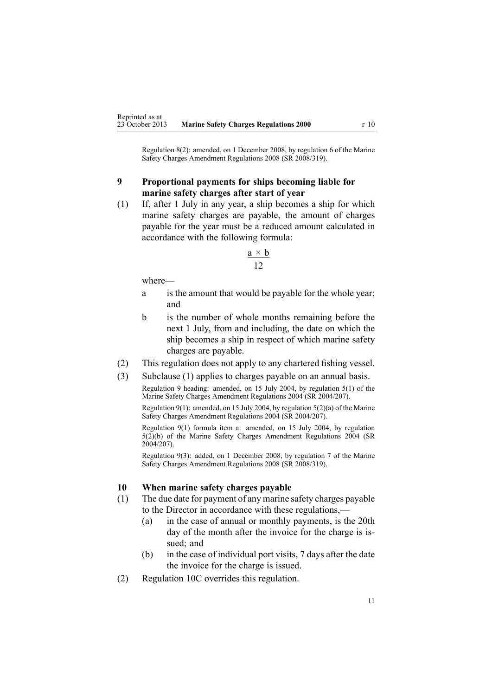<span id="page-10-0"></span>Regulation 8(2): amended, on 1 December 2008, by regu[lation](http://www.legislation.govt.nz/pdflink.aspx?id=DLM1625649) 6 of the Marine Safety Charges Amendment Regulations 2008 (SR 2008/319).

## **9 Proportional payments for ships becoming liable for marine safety charges after start of year**

(1) If, after 1 July in any year, <sup>a</sup> ship becomes <sup>a</sup> ship for which marine safety charges are payable, the amount of charges payable for the year must be <sup>a</sup> reduced amount calculated in accordance with the following formula:

$$
\frac{\mathbf{a} \times \mathbf{b}}{12}
$$

where—

- <sup>a</sup> is the amount that would be payable for the whole year; and
- b is the number of whole months remaining before the next 1 July, from and including, the date on which the ship becomes <sup>a</sup> ship in respec<sup>t</sup> of which marine safety charges are payable.
- (2) This regulation does not apply to any chartered fishing vessel.
- (3) Subclause (1) applies to charges payable on an annual basis.

Regulation 9 heading: amended, on 15 July 2004, by regu[lation](http://www.legislation.govt.nz/pdflink.aspx?id=DLM272540) 5(1) of the Marine Safety Charges Amendment Regulations 2004 (SR 2004/207).

Regulation 9(1): amended, on 15 July 2004, by regulation  $5(2)(a)$  of the Marine Safety Charges Amendment Regulations 2004 (SR 2004/207).

Regulation 9(1) formula item a: amended, on 15 July 2004, by regu[lation](http://www.legislation.govt.nz/pdflink.aspx?id=DLM272540) [5\(2\)\(b\)](http://www.legislation.govt.nz/pdflink.aspx?id=DLM272540) of the Marine Safety Charges Amendment Regulations 2004 (SR 2004/207).

Regulation 9(3): added, on 1 December 2008, by regu[lation](http://www.legislation.govt.nz/pdflink.aspx?id=DLM1625650) 7 of the Marine Safety Charges Amendment Regulations 2008 (SR 2008/319).

### **10 When marine safety charges payable**

- (1) The due date for paymen<sup>t</sup> of any marine safety charges payable to the Director in accordance with these regulations,—
	- (a) in the case of annual or monthly payments, is the 20th day of the month after the invoice for the charge is issued; and
	- (b) in the case of individual por<sup>t</sup> visits, 7 days after the date the invoice for the charge is issued.
- (2) [Regulation](#page-11-0) 10C overrides this regulation.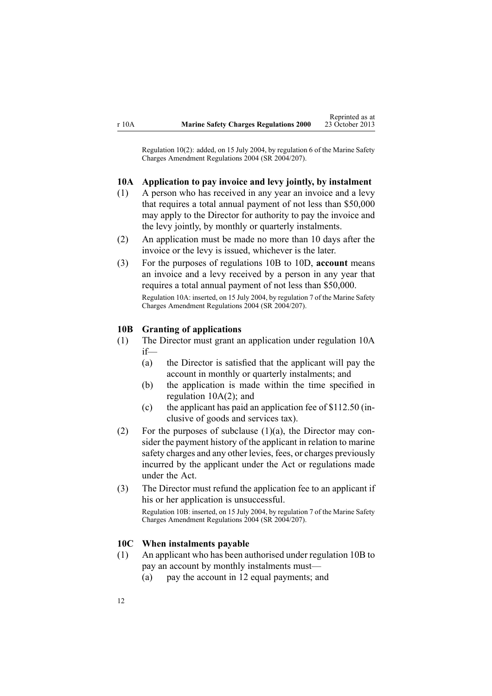<span id="page-11-0"></span>Regulation 10(2): added, on 15 July 2004, by regu[lation](http://www.legislation.govt.nz/pdflink.aspx?id=DLM272541) 6 of the Marine Safety Charges Amendment Regulations 2004 (SR 2004/207).

#### **10A Application to pay invoice and levy jointly, by instalment**

- (1) A person who has received in any year an invoice and <sup>a</sup> levy that requires <sup>a</sup> total annual paymen<sup>t</sup> of not less than \$50,000 may apply to the Director for authority to pay the invoice and the levy jointly, by monthly or quarterly instalments.
- (2) An application must be made no more than 10 days after the invoice or the levy is issued, whichever is the later.
- (3) For the purposes of regulations 10B to 10D, **account** means an invoice and <sup>a</sup> levy received by <sup>a</sup> person in any year that requires <sup>a</sup> total annual paymen<sup>t</sup> of not less than \$50,000. Regulation 10A: inserted, on 15 July 2004, by regu[lation](http://www.legislation.govt.nz/pdflink.aspx?id=DLM272542) 7 of the Marine Safety Charges Amendment Regulations 2004 (SR 2004/207).

#### **10B Granting of applications**

- (1) The Director must gran<sup>t</sup> an application under regulation 10A if—
	- (a) the Director is satisfied that the applicant will pay the account in monthly or quarterly instalments; and
	- (b) the application is made within the time specified in regulation 10A(2); and
	- (c) the applicant has paid an application fee of \$112.50 (inclusive of goods and services tax).
- (2) For the purposes of subclause  $(1)(a)$ , the Director may consider the paymen<sup>t</sup> history of the applicant in relation to marine safety charges and any other levies, fees, or charges previously incurred by the applicant under the Act or regulations made under the Act.
- (3) The Director must refund the application fee to an applicant if his or her application is unsuccessful.

Regulation 10B: inserted, on 15 July 2004, by regu[lation](http://www.legislation.govt.nz/pdflink.aspx?id=DLM272542) 7 of the Marine Safety Charges Amendment Regulations 2004 (SR 2004/207).

#### **10C When instalments payable**

- (1) An applicant who has been authorised under regulation 10B to pay an account by monthly instalments must—
	- (a) pay the account in 12 equal payments; and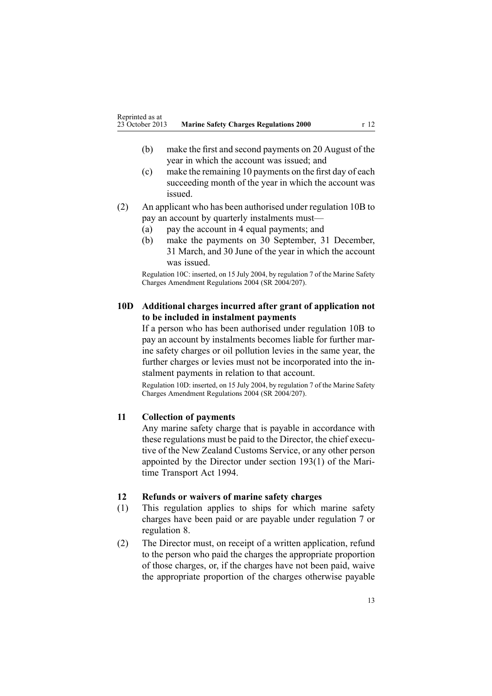- <span id="page-12-0"></span>(b) make the first and second payments on 20 August of the year in which the account was issued; and
- (c) make the remaining 10 payments on the first day of each succeeding month of the year in which the account was issued.
- (2) An applicant who has been authorised under regu[lation](#page-11-0) 10B to pay an account by quarterly instalments must—
	- (a) pay the account in 4 equal payments; and
	- (b) make the payments on 30 September, 31 December, 31 March, and 30 June of the year in which the account was issued.

Regulation 10C: inserted, on 15 July 2004, by regu[lation](http://www.legislation.govt.nz/pdflink.aspx?id=DLM272542) 7 of the Marine Safety Charges Amendment Regulations 2004 (SR 2004/207).

## **10D Additional charges incurred after grant of application not to be included in instalment payments**

If <sup>a</sup> person who has been authorised under regu[lation](#page-11-0) 10B to pay an account by instalments becomes liable for further marine safety charges or oil pollution levies in the same year, the further charges or levies must not be incorporated into the instalment payments in relation to that account.

Regulation 10D: inserted, on 15 July 2004, by regu[lation](http://www.legislation.govt.nz/pdflink.aspx?id=DLM272542) 7 of the Marine Safety Charges Amendment Regulations 2004 (SR 2004/207).

## **11 Collection of payments**

Any marine safety charge that is payable in accordance with these regulations must be paid to the Director, the chief executive of the New Zealand Customs Service, or any other person appointed by the Director under section [193\(1\)](http://www.legislation.govt.nz/pdflink.aspx?id=DLM336774) of the Maritime Transport Act 1994.

### **12 Refunds or waivers of marine safety charges**

- (1) This regulation applies to ships for which marine safety charges have been paid or are payable under regu[lation](#page-7-0) 7 or regu[lation](#page-9-0) 8.
- (2) The Director must, on receipt of <sup>a</sup> written application, refund to the person who paid the charges the appropriate proportion of those charges, or, if the charges have not been paid, waive the appropriate proportion of the charges otherwise payable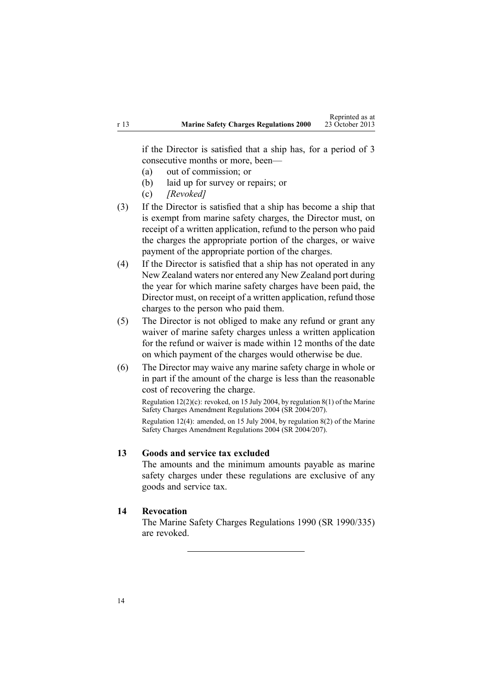<span id="page-13-0"></span>if the Director is satisfied that <sup>a</sup> ship has, for <sup>a</sup> period of 3 consecutive months or more, been—

- (a) out of commission; or
- (b) laid up for survey or repairs; or
- (c) *[Revoked]*
- (3) If the Director is satisfied that <sup>a</sup> ship has become <sup>a</sup> ship that is exemp<sup>t</sup> from marine safety charges, the Director must, on receipt of <sup>a</sup> written application, refund to the person who paid the charges the appropriate portion of the charges, or waive paymen<sup>t</sup> of the appropriate portion of the charges.
- (4) If the Director is satisfied that <sup>a</sup> ship has not operated in any New Zealand waters nor entered any New Zealand por<sup>t</sup> during the year for which marine safety charges have been paid, the Director must, on receipt of <sup>a</sup> written application, refund those charges to the person who paid them.
- (5) The Director is not obliged to make any refund or gran<sup>t</sup> any waiver of marine safety charges unless <sup>a</sup> written application for the refund or waiver is made within 12 months of the date on which paymen<sup>t</sup> of the charges would otherwise be due.
- (6) The Director may waive any marine safety charge in whole or in par<sup>t</sup> if the amount of the charge is less than the reasonable cost of recovering the charge.

Regu[lation](http://www.legislation.govt.nz/pdflink.aspx?id=DLM272547)  $12(2)(c)$ : revoked, on 15 July 2004, by regulation  $8(1)$  of the Marine Safety Charges Amendment Regulations 2004 (SR 2004/207).

Regulation 12(4): amended, on 15 July 2004, by regu[lation](http://www.legislation.govt.nz/pdflink.aspx?id=DLM272547) 8(2) of the Marine Safety Charges Amendment Regulations 2004 (SR 2004/207).

## **13 Goods and service tax excluded**

The amounts and the minimum amounts payable as marine safety charges under these regulations are exclusive of any goods and service tax.

## **14 Revocation**

The Marine Safety Charges Regulations 1990 (SR 1990/335) are revoked.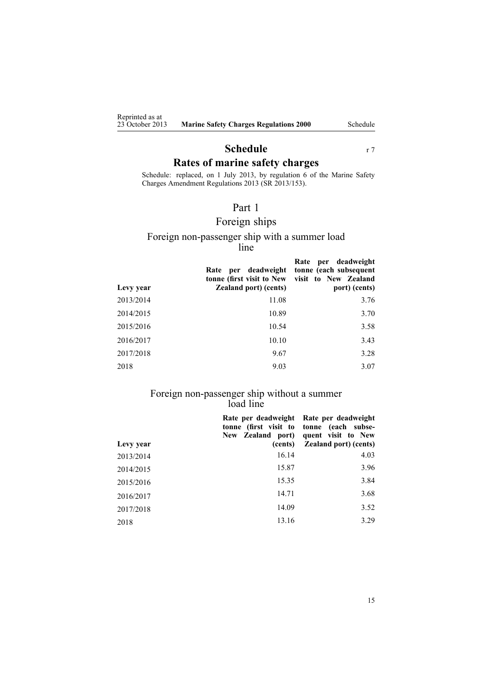<span id="page-14-0"></span>Reprinted as at<br>23 October 2013

# **Schedule** r [7](#page-7-0) **Rates of marine safety charges**

Schedule: replaced, on 1 July 2013, by regu[lation](http://www.legislation.govt.nz/pdflink.aspx?id=DLM5202309) 6 of the Marine Safety Charges Amendment Regulations 2013 (SR 2013/153).

## Part 1

# Foreign ships

#### Foreign non-passenger ship with <sup>a</sup> summer load line

| Levy year | Rate per deadweight<br>tonne (first visit to New<br><b>Zealand port</b> ) (cents) | per deadweight<br>Rate<br>tonne (each subsequent<br>visit to New Zealand<br>port) (cents) |
|-----------|-----------------------------------------------------------------------------------|-------------------------------------------------------------------------------------------|
| 2013/2014 | 11.08                                                                             | 3.76                                                                                      |
| 2014/2015 | 10.89                                                                             | 3.70                                                                                      |
| 2015/2016 | 10.54                                                                             | 3.58                                                                                      |
| 2016/2017 | 10.10                                                                             | 3.43                                                                                      |
| 2017/2018 | 9.67                                                                              | 3.28                                                                                      |
| 2018      | 9.03                                                                              | 3.07                                                                                      |

#### Foreign non-passenger ship without <sup>a</sup> summer load line

|           | Rate per deadweight<br>New Zealand port) | Rate per deadweight<br>tonne (first visit to tonne (each subse-<br>quent visit to New |
|-----------|------------------------------------------|---------------------------------------------------------------------------------------|
| Levy year | (cents)                                  | <b>Zealand port)</b> (cents)                                                          |
| 2013/2014 | 16.14                                    | 4.03                                                                                  |
| 2014/2015 | 15.87                                    | 3.96                                                                                  |
| 2015/2016 | 15.35                                    | 3.84                                                                                  |
| 2016/2017 | 14.71                                    | 3.68                                                                                  |
| 2017/2018 | 14.09                                    | 3.52                                                                                  |
| 2018      | 13.16                                    | 3.29                                                                                  |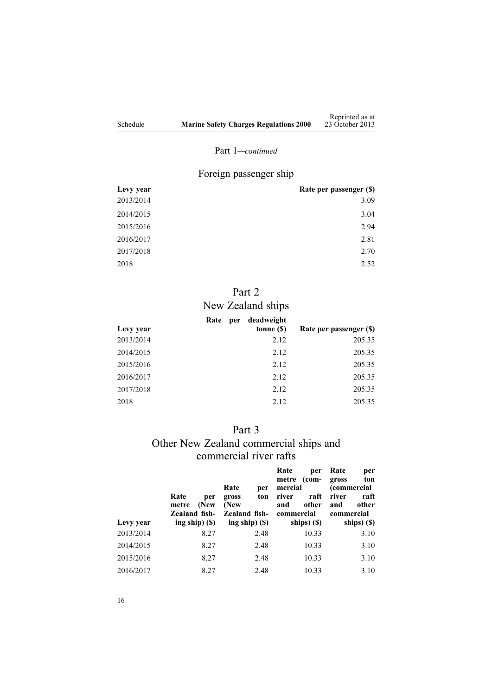## Part 1*—continued*

# Foreign passenger ship

<span id="page-15-0"></span>

| Levy year | Rate per passenger (\$) |
|-----------|-------------------------|
| 2013/2014 | 3.09                    |
| 2014/2015 | 3.04                    |
| 2015/2016 | 2.94                    |
| 2016/2017 | 2.81                    |
| 2017/2018 | 2.70                    |
| 2018      | 2.52                    |

# Part 2

# New Zealand ships

|           | Rate | per | deadweight |                         |
|-----------|------|-----|------------|-------------------------|
| Levy year |      |     | tonne (\$) | Rate per passenger (\$) |
| 2013/2014 |      |     | 2.12       | 205.35                  |
| 2014/2015 |      |     | 2.12       | 205.35                  |
| 2015/2016 |      |     | 2.12       | 205.35                  |
| 2016/2017 |      |     | 2.12       | 205.35                  |
| 2017/2018 |      |     | 2.12       | 205.35                  |
| 2018      |      |     | 2.12       | 205.35                  |

## Part 3

# Other New Zealand commercial ships and commercial river rafts

| Levy year | Rate<br>per<br>(New<br>metre<br>Zealand fish-<br>ing ship $($ \$ $)$ | Rate<br>per<br>ton<br>gross<br>(New<br>Zealand fish-<br>ing ship $($ \$) | Rate<br>per<br>(com-<br>metre<br>mercial<br>raft<br>river<br>other<br>and<br>commercial<br>ships) (\$) | Rate<br>per<br>gross<br>ton<br><i>(commercial</i><br>river<br>raft<br>other<br>and<br>commercial<br>ships) (\$) |
|-----------|----------------------------------------------------------------------|--------------------------------------------------------------------------|--------------------------------------------------------------------------------------------------------|-----------------------------------------------------------------------------------------------------------------|
| 2013/2014 |                                                                      |                                                                          |                                                                                                        |                                                                                                                 |
|           | 8.27                                                                 | 2.48                                                                     | 10.33                                                                                                  | 3.10                                                                                                            |
| 2014/2015 | 8.27                                                                 | 2.48                                                                     | 10.33                                                                                                  | 3.10                                                                                                            |
| 2015/2016 | 8.27                                                                 | 2.48                                                                     | 10.33                                                                                                  | 3.10                                                                                                            |
| 2016/2017 | 8.27                                                                 | 2.48                                                                     | 10.33                                                                                                  | 3.10                                                                                                            |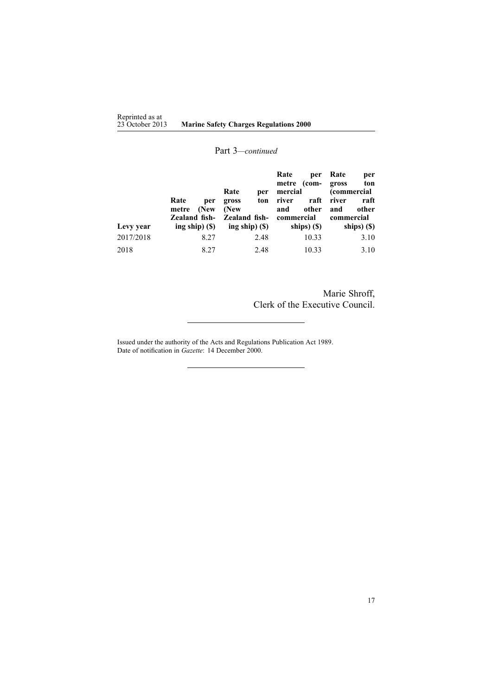### Part 3*—continued*

|           |                                                                             | Rate<br>per                                                         | Rate<br>per<br>$com-$<br>metre<br>mercial                  | Rate<br>per<br>ton<br>gross<br><i>(commercial</i> )        |
|-----------|-----------------------------------------------------------------------------|---------------------------------------------------------------------|------------------------------------------------------------|------------------------------------------------------------|
| Levy year | Rate<br>per<br>(New<br>metre<br><b>Zealand fish-</b><br>ing ship $($ \$ $)$ | ton<br>gross<br>(New<br><b>Zealand fish-</b><br>ing ship $($ \$ $)$ | raft<br>river<br>other<br>and<br>commercial<br>ships) (\$) | raft<br>river<br>other<br>and<br>commercial<br>ships) (\$) |
| 2017/2018 | 8.27                                                                        | 2.48                                                                | 10.33                                                      | 3.10                                                       |
| 2018      | 8.27                                                                        | 2.48                                                                | 10.33                                                      | 3.10                                                       |

Marie Shroff, Clerk of the Executive Council.

Issued under the authority of the Acts and [Regulations](http://www.legislation.govt.nz/pdflink.aspx?id=DLM195097) Publication Act 1989. Date of notification in *Gazette*: 14 December 2000.